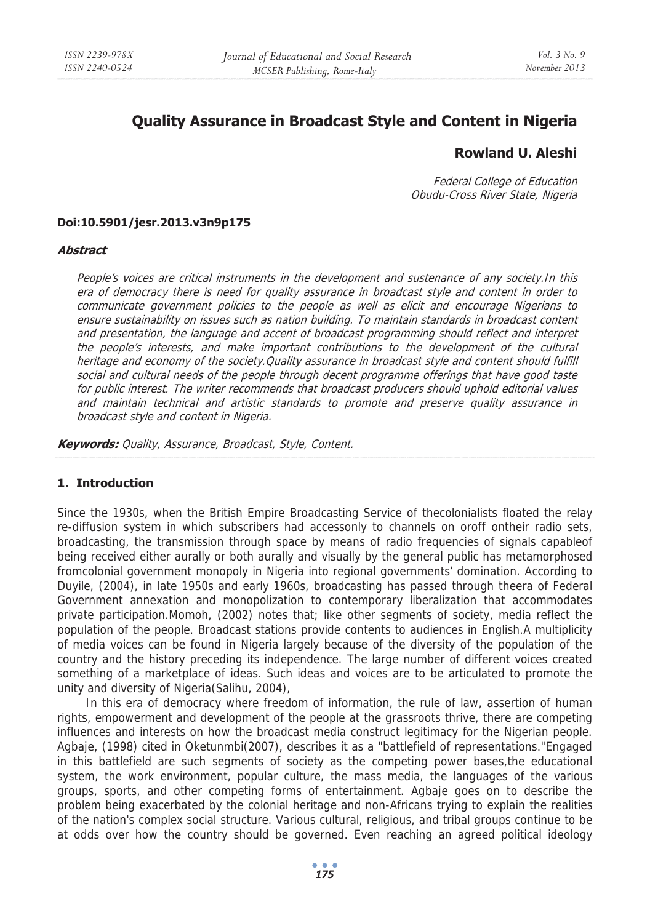# **Quality Assurance in Broadcast Style and Content in Nigeria**

## **Rowland U. Aleshi**

Federal College of Education Obudu-Cross River State, Nigeria

#### **Doi:10.5901/jesr.2013.v3n9p175**

#### **Abstract**

People's voices are critical instruments in the development and sustenance of any society.In this era of democracy there is need for quality assurance in broadcast style and content in order to communicate government policies to the people as well as elicit and encourage Nigerians to ensure sustainability on issues such as nation building. To maintain standards in broadcast content and presentation, the language and accent of broadcast programming should reflect and interpret the people's interests, and make important contributions to the development of the cultural heritage and economy of the society. Quality assurance in broadcast style and content should fulfill social and cultural needs of the people through decent programme offerings that have good taste for public interest. The writer recommends that broadcast producers should uphold editorial values and maintain technical and artistic standards to promote and preserve quality assurance in broadcast style and content in Nigeria.

**Keywords:** Quality, Assurance, Broadcast, Style, Content.

#### **1. Introduction**

Since the 1930s, when the British Empire Broadcasting Service of thecolonialists floated the relay re-diffusion system in which subscribers had accessonly to channels on oroff ontheir radio sets, broadcasting, the transmission through space by means of radio frequencies of signals capableof being received either aurally or both aurally and visually by the general public has metamorphosed fromcolonial government monopoly in Nigeria into regional governments' domination. According to Duyile, (2004), in late 1950s and early 1960s, broadcasting has passed through theera of Federal Government annexation and monopolization to contemporary liberalization that accommodates private participation.Momoh, (2002) notes that; like other segments of society, media reflect the population of the people. Broadcast stations provide contents to audiences in English.A multiplicity of media voices can be found in Nigeria largely because of the diversity of the population of the country and the history preceding its independence. The large number of different voices created something of a marketplace of ideas. Such ideas and voices are to be articulated to promote the unity and diversity of Nigeria(Salihu, 2004),

In this era of democracy where freedom of information, the rule of law, assertion of human rights, empowerment and development of the people at the grassroots thrive, there are competing influences and interests on how the broadcast media construct legitimacy for the Nigerian people. Agbaje, (1998) cited in Oketunmbi(2007), describes it as a "battlefield of representations."Engaged in this battlefield are such segments of society as the competing power bases,the educational system, the work environment, popular culture, the mass media, the languages of the various groups, sports, and other competing forms of entertainment. Agbaje goes on to describe the problem being exacerbated by the colonial heritage and non-Africans trying to explain the realities of the nation's complex social structure. Various cultural, religious, and tribal groups continue to be at odds over how the country should be governed. Even reaching an agreed political ideology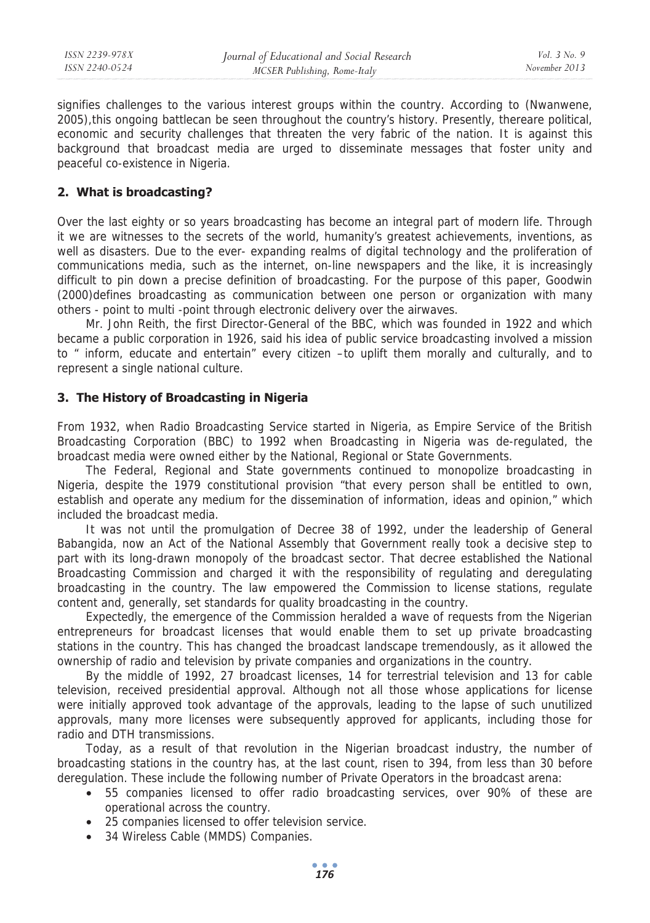| ISSN 2239-978X | Journal of Educational and Social Research | <i>Vol.</i> $3$ No. 9 |
|----------------|--------------------------------------------|-----------------------|
| ISSN 2240-0524 | MCSER Publishing, Rome-Italy               | November 2013         |
|                |                                            |                       |

signifies challenges to the various interest groups within the country. According to (Nwanwene, 2005),this ongoing battlecan be seen throughout the country's history. Presently, thereare political, economic and security challenges that threaten the very fabric of the nation. It is against this background that broadcast media are urged to disseminate messages that foster unity and peaceful co-existence in Nigeria.

### **2. What is broadcasting?**

Over the last eighty or so years broadcasting has become an integral part of modern life. Through it we are witnesses to the secrets of the world, humanity's greatest achievements, inventions, as well as disasters. Due to the ever- expanding realms of digital technology and the proliferation of communications media, such as the internet, on-line newspapers and the like, it is increasingly difficult to pin down a precise definition of broadcasting. For the purpose of this paper, Goodwin (2000)defines broadcasting as communication between one person or organization with many others - point to multi -point through electronic delivery over the airwaves.

Mr. John Reith, the first Director-General of the BBC, which was founded in 1922 and which became a public corporation in 1926, said his idea of public service broadcasting involved a mission to " inform, educate and entertain" every citizen –to uplift them morally and culturally, and to represent a single national culture.

#### **3. The History of Broadcasting in Nigeria**

From 1932, when Radio Broadcasting Service started in Nigeria, as Empire Service of the British Broadcasting Corporation (BBC) to 1992 when Broadcasting in Nigeria was de-regulated, the broadcast media were owned either by the National, Regional or State Governments.

The Federal, Regional and State governments continued to monopolize broadcasting in Nigeria, despite the 1979 constitutional provision "that every person shall be entitled to own, establish and operate any medium for the dissemination of information, ideas and opinion," which included the broadcast media.

It was not until the promulgation of Decree 38 of 1992, under the leadership of General Babangida, now an Act of the National Assembly that Government really took a decisive step to part with its long-drawn monopoly of the broadcast sector. That decree established the National Broadcasting Commission and charged it with the responsibility of regulating and deregulating broadcasting in the country. The law empowered the Commission to license stations, regulate content and, generally, set standards for quality broadcasting in the country.

Expectedly, the emergence of the Commission heralded a wave of requests from the Nigerian entrepreneurs for broadcast licenses that would enable them to set up private broadcasting stations in the country. This has changed the broadcast landscape tremendously, as it allowed the ownership of radio and television by private companies and organizations in the country.

By the middle of 1992, 27 broadcast licenses, 14 for terrestrial television and 13 for cable television, received presidential approval. Although not all those whose applications for license were initially approved took advantage of the approvals, leading to the lapse of such unutilized approvals, many more licenses were subsequently approved for applicants, including those for radio and DTH transmissions.

Today, as a result of that revolution in the Nigerian broadcast industry, the number of broadcasting stations in the country has, at the last count, risen to 394, from less than 30 before deregulation. These include the following number of Private Operators in the broadcast arena:

- 55 companies licensed to offer radio broadcasting services, over 90% of these are operational across the country.
- 25 companies licensed to offer television service.
- 34 Wireless Cable (MMDS) Companies.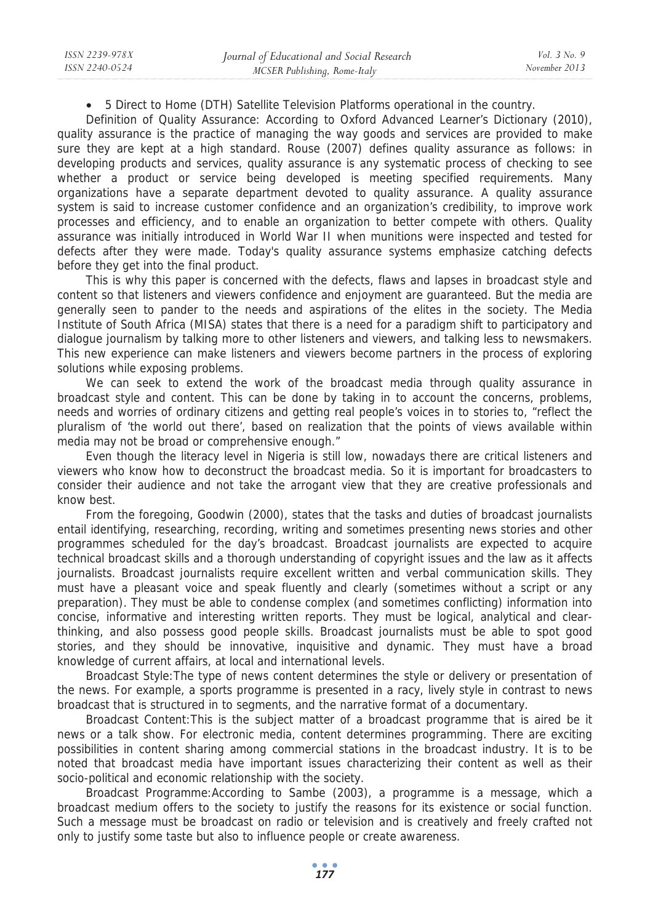• 5 Direct to Home (DTH) Satellite Television Platforms operational in the country.

Definition of Quality Assurance: According to Oxford Advanced Learner's Dictionary (2010), quality assurance is the practice of managing the way goods and services are provided to make sure they are kept at a high standard. Rouse (2007) defines quality assurance as follows: in developing products and services, quality assurance is any systematic process of checking to see whether a product or service being developed is meeting specified requirements. Many organizations have a separate department devoted to quality assurance. A quality assurance system is said to increase customer confidence and an organization's credibility, to improve work processes and efficiency, and to enable an organization to better compete with others. Quality assurance was initially introduced in World War II when munitions were inspected and tested for defects after they were made. Today's quality assurance systems emphasize catching defects before they get into the final product.

This is why this paper is concerned with the defects, flaws and lapses in broadcast style and content so that listeners and viewers confidence and enjoyment are guaranteed. But the media are generally seen to pander to the needs and aspirations of the elites in the society. The Media Institute of South Africa (MISA) states that there is a need for a paradigm shift to participatory and dialogue journalism by talking more to other listeners and viewers, and talking less to newsmakers. This new experience can make listeners and viewers become partners in the process of exploring solutions while exposing problems.

We can seek to extend the work of the broadcast media through quality assurance in broadcast style and content. This can be done by taking in to account the concerns, problems, needs and worries of ordinary citizens and getting real people's voices in to stories to, "reflect the pluralism of 'the world out there', based on realization that the points of views available within media may not be broad or comprehensive enough."

Even though the literacy level in Nigeria is still low, nowadays there are critical listeners and viewers who know how to deconstruct the broadcast media. So it is important for broadcasters to consider their audience and not take the arrogant view that they are creative professionals and know best.

From the foregoing, Goodwin (2000), states that the tasks and duties of broadcast journalists entail identifying, researching, recording, writing and sometimes presenting news stories and other programmes scheduled for the day's broadcast. Broadcast journalists are expected to acquire technical broadcast skills and a thorough understanding of copyright issues and the law as it affects journalists. Broadcast journalists require excellent written and verbal communication skills. They must have a pleasant voice and speak fluently and clearly (sometimes without a script or any preparation). They must be able to condense complex (and sometimes conflicting) information into concise, informative and interesting written reports. They must be logical, analytical and clearthinking, and also possess good people skills. Broadcast journalists must be able to spot good stories, and they should be innovative, inquisitive and dynamic. They must have a broad knowledge of current affairs, at local and international levels.

Broadcast Style:The type of news content determines the style or delivery or presentation of the news. For example, a sports programme is presented in a racy, lively style in contrast to news broadcast that is structured in to segments, and the narrative format of a documentary.

Broadcast Content:This is the subject matter of a broadcast programme that is aired be it news or a talk show. For electronic media, content determines programming. There are exciting possibilities in content sharing among commercial stations in the broadcast industry. It is to be noted that broadcast media have important issues characterizing their content as well as their socio-political and economic relationship with the society.

Broadcast Programme:According to Sambe (2003), a programme is a message, which a broadcast medium offers to the society to justify the reasons for its existence or social function. Such a message must be broadcast on radio or television and is creatively and freely crafted not only to justify some taste but also to influence people or create awareness.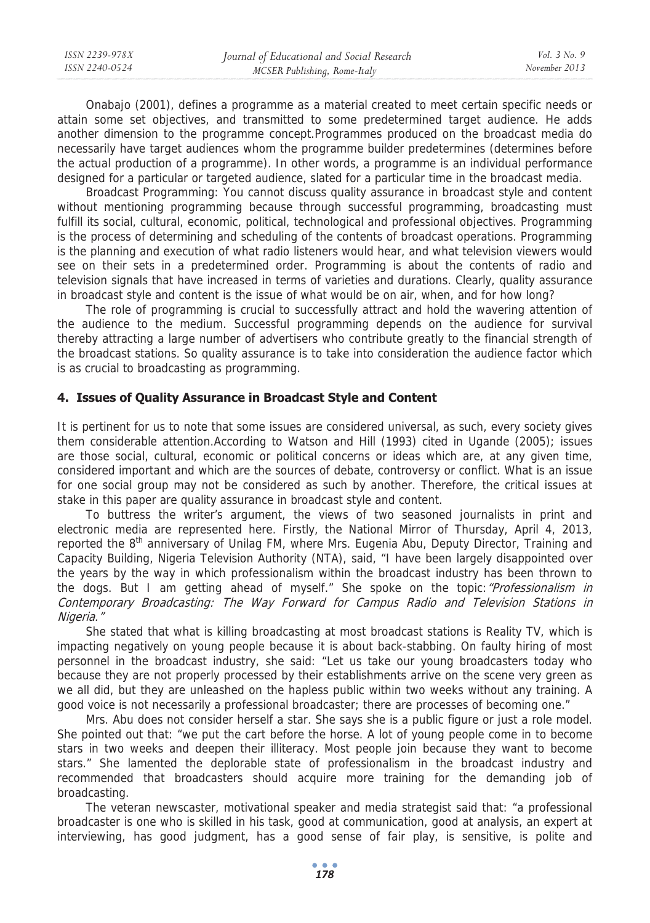| ISSN 2239-978X | Journal of Educational and Social Research | Vol. 3 No. 9  |
|----------------|--------------------------------------------|---------------|
| ISSN 2240-0524 | MCSER Publishing, Rome-Italy               | November 2013 |
|                |                                            |               |

Onabajo (2001), defines a programme as a material created to meet certain specific needs or attain some set objectives, and transmitted to some predetermined target audience. He adds another dimension to the programme concept.Programmes produced on the broadcast media do necessarily have target audiences whom the programme builder predetermines (determines before the actual production of a programme). In other words, a programme is an individual performance designed for a particular or targeted audience, slated for a particular time in the broadcast media.

Broadcast Programming: You cannot discuss quality assurance in broadcast style and content without mentioning programming because through successful programming, broadcasting must fulfill its social, cultural, economic, political, technological and professional objectives. Programming is the process of determining and scheduling of the contents of broadcast operations. Programming is the planning and execution of what radio listeners would hear, and what television viewers would see on their sets in a predetermined order. Programming is about the contents of radio and television signals that have increased in terms of varieties and durations. Clearly, quality assurance in broadcast style and content is the issue of what would be on air, when, and for how long?

The role of programming is crucial to successfully attract and hold the wavering attention of the audience to the medium. Successful programming depends on the audience for survival thereby attracting a large number of advertisers who contribute greatly to the financial strength of the broadcast stations. So quality assurance is to take into consideration the audience factor which is as crucial to broadcasting as programming.

### **4. Issues of Quality Assurance in Broadcast Style and Content**

It is pertinent for us to note that some issues are considered universal, as such, every society gives them considerable attention.According to Watson and Hill (1993) cited in Ugande (2005); issues are those social, cultural, economic or political concerns or ideas which are, at any given time, considered important and which are the sources of debate, controversy or conflict. What is an issue for one social group may not be considered as such by another. Therefore, the critical issues at stake in this paper are quality assurance in broadcast style and content.

To buttress the writer's argument, the views of two seasoned journalists in print and electronic media are represented here. Firstly, the National Mirror of Thursday, April 4, 2013, reported the 8<sup>th</sup> anniversary of Unilag FM, where Mrs. Eugenia Abu, Deputy Director, Training and Capacity Building, Nigeria Television Authority (NTA), said, "I have been largely disappointed over the years by the way in which professionalism within the broadcast industry has been thrown to the dogs. But I am getting ahead of myself." She spoke on the topic: "Professionalism in Contemporary Broadcasting: The Way Forward for Campus Radio and Television Stations in Nigeria."

She stated that what is killing broadcasting at most broadcast stations is Reality TV, which is impacting negatively on young people because it is about back-stabbing. On faulty hiring of most personnel in the broadcast industry, she said: "Let us take our young broadcasters today who because they are not properly processed by their establishments arrive on the scene very green as we all did, but they are unleashed on the hapless public within two weeks without any training. A good voice is not necessarily a professional broadcaster; there are processes of becoming one."

Mrs. Abu does not consider herself a star. She says she is a public figure or just a role model. She pointed out that: "we put the cart before the horse. A lot of young people come in to become stars in two weeks and deepen their illiteracy. Most people join because they want to become stars." She lamented the deplorable state of professionalism in the broadcast industry and recommended that broadcasters should acquire more training for the demanding job of broadcasting.

The veteran newscaster, motivational speaker and media strategist said that: "a professional broadcaster is one who is skilled in his task, good at communication, good at analysis, an expert at interviewing, has good judgment, has a good sense of fair play, is sensitive, is polite and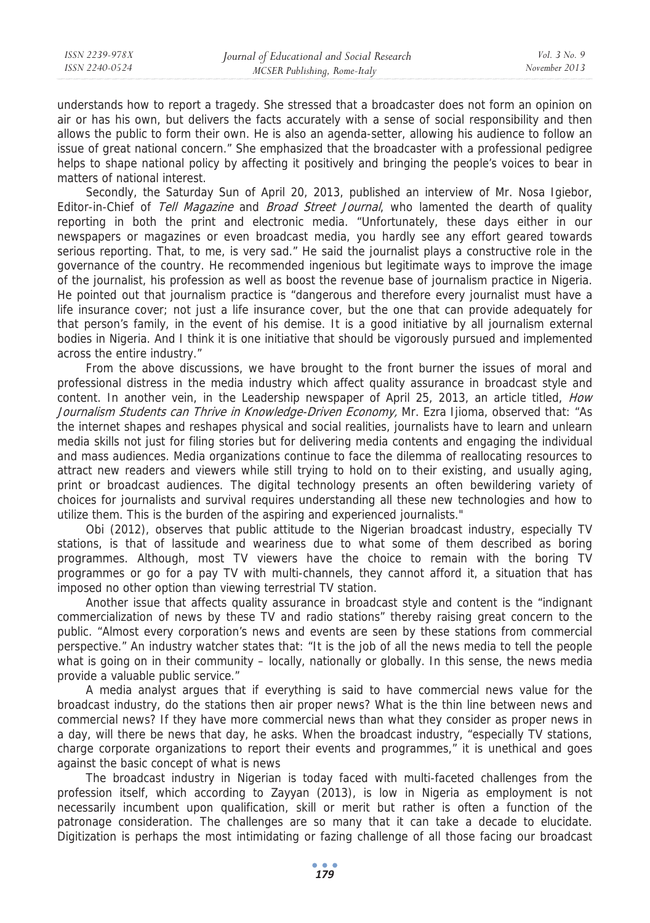understands how to report a tragedy. She stressed that a broadcaster does not form an opinion on air or has his own, but delivers the facts accurately with a sense of social responsibility and then allows the public to form their own. He is also an agenda-setter, allowing his audience to follow an issue of great national concern." She emphasized that the broadcaster with a professional pedigree helps to shape national policy by affecting it positively and bringing the people's voices to bear in matters of national interest.

Secondly, the Saturday Sun of April 20, 2013, published an interview of Mr. Nosa Igiebor, Editor-in-Chief of Tell Magazine and Broad Street Journal, who lamented the dearth of quality reporting in both the print and electronic media. "Unfortunately, these days either in our newspapers or magazines or even broadcast media, you hardly see any effort geared towards serious reporting. That, to me, is very sad." He said the journalist plays a constructive role in the governance of the country. He recommended ingenious but legitimate ways to improve the image of the journalist, his profession as well as boost the revenue base of journalism practice in Nigeria. He pointed out that journalism practice is "dangerous and therefore every journalist must have a life insurance cover; not just a life insurance cover, but the one that can provide adequately for that person's family, in the event of his demise. It is a good initiative by all journalism external bodies in Nigeria. And I think it is one initiative that should be vigorously pursued and implemented across the entire industry."

From the above discussions, we have brought to the front burner the issues of moral and professional distress in the media industry which affect quality assurance in broadcast style and content. In another vein, in the Leadership newspaper of April 25, 2013, an article titled, *How* Journalism Students can Thrive in Knowledge-Driven Economy, Mr. Ezra Ijioma, observed that: "As the internet shapes and reshapes physical and social realities, journalists have to learn and unlearn media skills not just for filing stories but for delivering media contents and engaging the individual and mass audiences. Media organizations continue to face the dilemma of reallocating resources to attract new readers and viewers while still trying to hold on to their existing, and usually aging, print or broadcast audiences. The digital technology presents an often bewildering variety of choices for journalists and survival requires understanding all these new technologies and how to utilize them. This is the burden of the aspiring and experienced journalists."

Obi (2012), observes that public attitude to the Nigerian broadcast industry, especially TV stations, is that of lassitude and weariness due to what some of them described as boring programmes. Although, most TV viewers have the choice to remain with the boring TV programmes or go for a pay TV with multi-channels, they cannot afford it, a situation that has imposed no other option than viewing terrestrial TV station.

Another issue that affects quality assurance in broadcast style and content is the "indignant commercialization of news by these TV and radio stations" thereby raising great concern to the public. "Almost every corporation's news and events are seen by these stations from commercial perspective." An industry watcher states that: "It is the job of all the news media to tell the people what is going on in their community – locally, nationally or globally. In this sense, the news media provide a valuable public service."

A media analyst argues that if everything is said to have commercial news value for the broadcast industry, do the stations then air proper news? What is the thin line between news and commercial news? If they have more commercial news than what they consider as proper news in a day, will there be news that day, he asks. When the broadcast industry, "especially TV stations, charge corporate organizations to report their events and programmes," it is unethical and goes against the basic concept of what is news

The broadcast industry in Nigerian is today faced with multi-faceted challenges from the profession itself, which according to Zayyan (2013), is low in Nigeria as employment is not necessarily incumbent upon qualification, skill or merit but rather is often a function of the patronage consideration. The challenges are so many that it can take a decade to elucidate. Digitization is perhaps the most intimidating or fazing challenge of all those facing our broadcast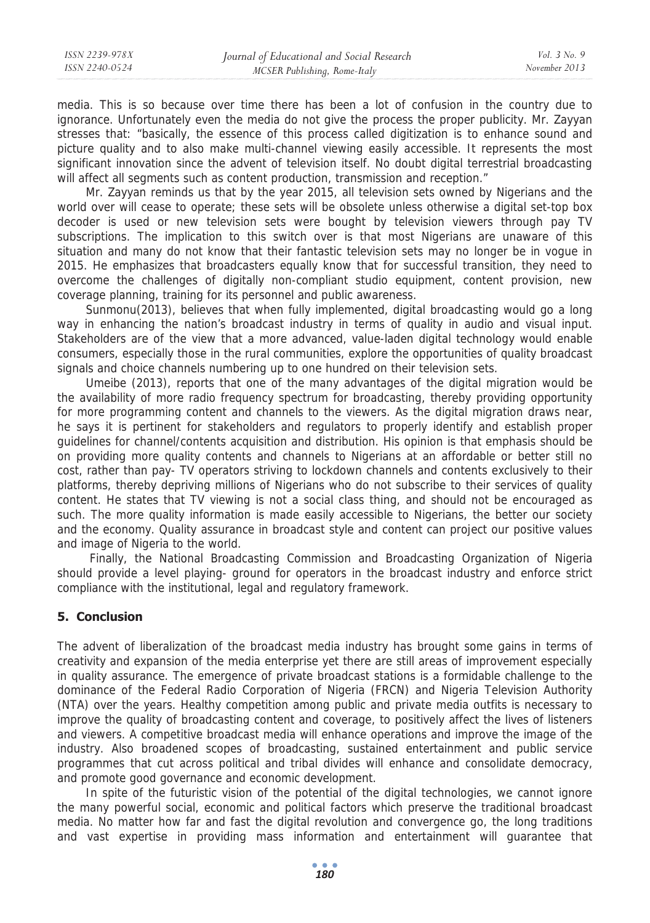media. This is so because over time there has been a lot of confusion in the country due to ignorance. Unfortunately even the media do not give the process the proper publicity. Mr. Zayyan stresses that: "basically, the essence of this process called digitization is to enhance sound and picture quality and to also make multi-channel viewing easily accessible. It represents the most significant innovation since the advent of television itself. No doubt digital terrestrial broadcasting will affect all segments such as content production, transmission and reception."

Mr. Zayyan reminds us that by the year 2015, all television sets owned by Nigerians and the world over will cease to operate; these sets will be obsolete unless otherwise a digital set-top box decoder is used or new television sets were bought by television viewers through pay TV subscriptions. The implication to this switch over is that most Nigerians are unaware of this situation and many do not know that their fantastic television sets may no longer be in vogue in 2015. He emphasizes that broadcasters equally know that for successful transition, they need to overcome the challenges of digitally non-compliant studio equipment, content provision, new coverage planning, training for its personnel and public awareness.

Sunmonu(2013), believes that when fully implemented, digital broadcasting would go a long way in enhancing the nation's broadcast industry in terms of quality in audio and visual input. Stakeholders are of the view that a more advanced, value-laden digital technology would enable consumers, especially those in the rural communities, explore the opportunities of quality broadcast signals and choice channels numbering up to one hundred on their television sets.

Umeibe (2013), reports that one of the many advantages of the digital migration would be the availability of more radio frequency spectrum for broadcasting, thereby providing opportunity for more programming content and channels to the viewers. As the digital migration draws near, he says it is pertinent for stakeholders and regulators to properly identify and establish proper guidelines for channel/contents acquisition and distribution. His opinion is that emphasis should be on providing more quality contents and channels to Nigerians at an affordable or better still no cost, rather than pay- TV operators striving to lockdown channels and contents exclusively to their platforms, thereby depriving millions of Nigerians who do not subscribe to their services of quality content. He states that TV viewing is not a social class thing, and should not be encouraged as such. The more quality information is made easily accessible to Nigerians, the better our society and the economy. Quality assurance in broadcast style and content can project our positive values and image of Nigeria to the world.

 Finally, the National Broadcasting Commission and Broadcasting Organization of Nigeria should provide a level playing- ground for operators in the broadcast industry and enforce strict compliance with the institutional, legal and regulatory framework.

## **5. Conclusion**

The advent of liberalization of the broadcast media industry has brought some gains in terms of creativity and expansion of the media enterprise yet there are still areas of improvement especially in quality assurance. The emergence of private broadcast stations is a formidable challenge to the dominance of the Federal Radio Corporation of Nigeria (FRCN) and Nigeria Television Authority (NTA) over the years. Healthy competition among public and private media outfits is necessary to improve the quality of broadcasting content and coverage, to positively affect the lives of listeners and viewers. A competitive broadcast media will enhance operations and improve the image of the industry. Also broadened scopes of broadcasting, sustained entertainment and public service programmes that cut across political and tribal divides will enhance and consolidate democracy, and promote good governance and economic development.

In spite of the futuristic vision of the potential of the digital technologies, we cannot ignore the many powerful social, economic and political factors which preserve the traditional broadcast media. No matter how far and fast the digital revolution and convergence go, the long traditions and vast expertise in providing mass information and entertainment will guarantee that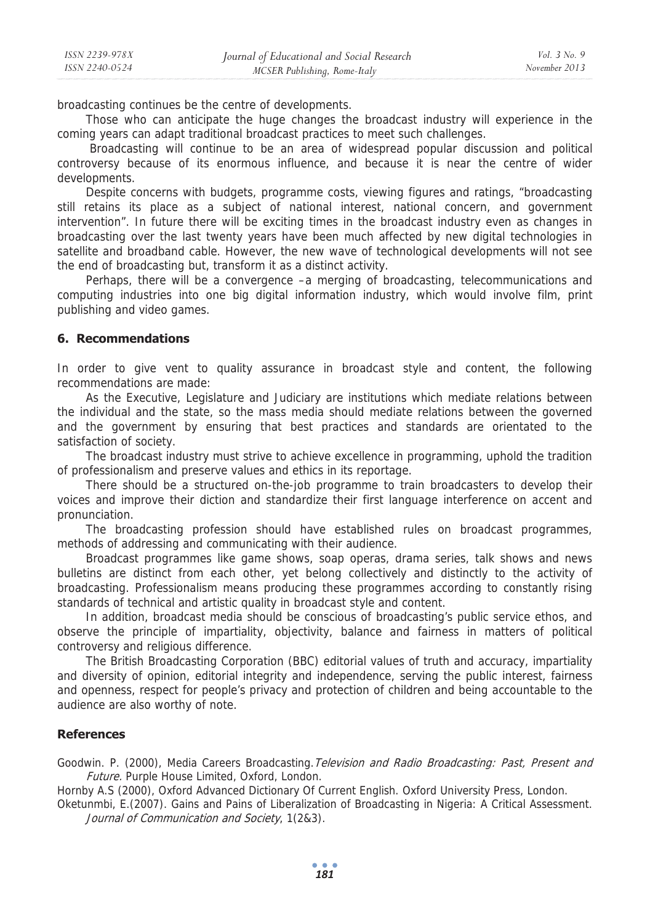broadcasting continues be the centre of developments.

Those who can anticipate the huge changes the broadcast industry will experience in the coming years can adapt traditional broadcast practices to meet such challenges.

 Broadcasting will continue to be an area of widespread popular discussion and political controversy because of its enormous influence, and because it is near the centre of wider developments.

Despite concerns with budgets, programme costs, viewing figures and ratings, "broadcasting still retains its place as a subject of national interest, national concern, and government intervention". In future there will be exciting times in the broadcast industry even as changes in broadcasting over the last twenty years have been much affected by new digital technologies in satellite and broadband cable. However, the new wave of technological developments will not see the end of broadcasting but, transform it as a distinct activity.

Perhaps, there will be a convergence –a merging of broadcasting, telecommunications and computing industries into one big digital information industry, which would involve film, print publishing and video games.

#### **6. Recommendations**

In order to give vent to quality assurance in broadcast style and content, the following recommendations are made:

As the Executive, Legislature and Judiciary are institutions which mediate relations between the individual and the state, so the mass media should mediate relations between the governed and the government by ensuring that best practices and standards are orientated to the satisfaction of society.

The broadcast industry must strive to achieve excellence in programming, uphold the tradition of professionalism and preserve values and ethics in its reportage.

There should be a structured on-the-job programme to train broadcasters to develop their voices and improve their diction and standardize their first language interference on accent and pronunciation.

The broadcasting profession should have established rules on broadcast programmes, methods of addressing and communicating with their audience.

Broadcast programmes like game shows, soap operas, drama series, talk shows and news bulletins are distinct from each other, yet belong collectively and distinctly to the activity of broadcasting. Professionalism means producing these programmes according to constantly rising standards of technical and artistic quality in broadcast style and content.

In addition, broadcast media should be conscious of broadcasting's public service ethos, and observe the principle of impartiality, objectivity, balance and fairness in matters of political controversy and religious difference.

The British Broadcasting Corporation (BBC) editorial values of truth and accuracy, impartiality and diversity of opinion, editorial integrity and independence, serving the public interest, fairness and openness, respect for people's privacy and protection of children and being accountable to the audience are also worthy of note.

### **References**

Goodwin. P. (2000), Media Careers Broadcasting. Television and Radio Broadcasting: Past, Present and Future. Purple House Limited, Oxford, London.

Hornby A.S (2000), Oxford Advanced Dictionary Of Current English. Oxford University Press, London.

Oketunmbi, E.(2007). Gains and Pains of Liberalization of Broadcasting in Nigeria: A Critical Assessment. Journal of Communication and Society, 1(2&3).